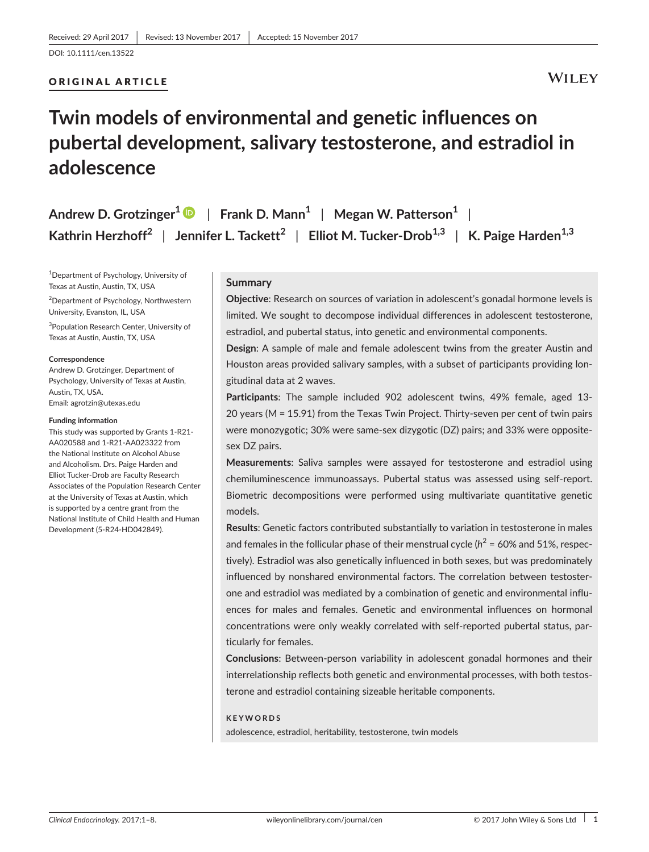## ORIGINAL ARTICLE

## **WILEY**

## **Twin models of environmental and genetic influences on pubertal development, salivary testosterone, and estradiol in adolescence**

| Andrew D. Grotzinger <sup>1</sup> $\bullet$   Frank D. Mann <sup>1</sup>   Megan W. Patterson <sup>1</sup>                               |  |
|------------------------------------------------------------------------------------------------------------------------------------------|--|
| Kathrin Herzhoff <sup>2</sup>   Jennifer L. Tackett <sup>2</sup>   Elliot M. Tucker-Drob <sup>1,3</sup>   K. Paige Harden <sup>1,3</sup> |  |

1 Department of Psychology, University of Texas at Austin, Austin, TX, USA

2 Department of Psychology, Northwestern University, Evanston, IL, USA

3 Population Research Center, University of Texas at Austin, Austin, TX, USA

#### **Correspondence**

Andrew D. Grotzinger, Department of Psychology, University of Texas at Austin, Austin, TX, USA. Email: [agrotzin@utexas.edu](mailto:agrotzin@utexas.edu)

#### **Funding information**

This study was supported by Grants 1-R21- AA020588 and 1-R21-AA023322 from the National Institute on Alcohol Abuse and Alcoholism. Drs. Paige Harden and Elliot Tucker-Drob are Faculty Research Associates of the Population Research Center at the University of Texas at Austin, which is supported by a centre grant from the National Institute of Child Health and Human Development (5-R24-HD042849).

## **Summary**

**Objective**: Research on sources of variation in adolescent's gonadal hormone levels is limited. We sought to decompose individual differences in adolescent testosterone, estradiol, and pubertal status, into genetic and environmental components.

**Design**: A sample of male and female adolescent twins from the greater Austin and Houston areas provided salivary samples, with a subset of participants providing longitudinal data at 2 waves.

**Participants**: The sample included 902 adolescent twins, 49% female, aged 13- 20 years (M = 15.91) from the Texas Twin Project. Thirty-seven per cent of twin pairs were monozygotic; 30% were same-sex dizygotic (DZ) pairs; and 33% were oppositesex DZ pairs.

**Measurements**: Saliva samples were assayed for testosterone and estradiol using chemiluminescence immunoassays. Pubertal status was assessed using self-report. Biometric decompositions were performed using multivariate quantitative genetic models.

**Results**: Genetic factors contributed substantially to variation in testosterone in males and females in the follicular phase of their menstrual cycle ( $h^2$  = 60% and 51%, respectively). Estradiol was also genetically influenced in both sexes, but was predominately influenced by nonshared environmental factors. The correlation between testosterone and estradiol was mediated by a combination of genetic and environmental influences for males and females. Genetic and environmental influences on hormonal concentrations were only weakly correlated with self-reported pubertal status, particularly for females.

**Conclusions**: Between-person variability in adolescent gonadal hormones and their interrelationship reflects both genetic and environmental processes, with both testosterone and estradiol containing sizeable heritable components.

#### **KEYWORDS**

adolescence, estradiol, heritability, testosterone, twin models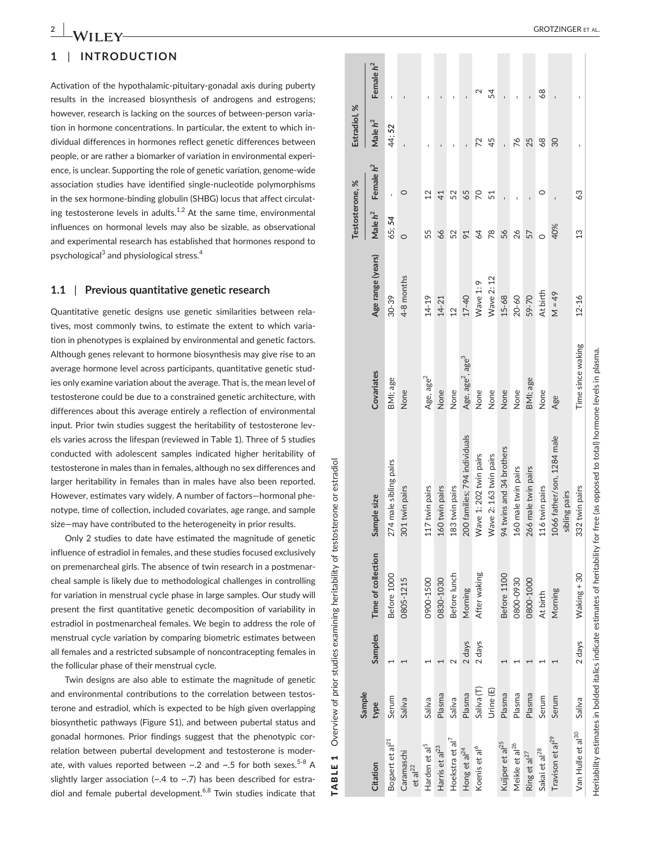# **1** | **INTRODUCTION**

Activation of the hypothalamic-pituitary-gonadal axis during puberty results in the increased biosynthesis of androgens and estrogens; however, research is lacking on the sources of between-person variation in hormone concentrations. In particular, the extent to which individual differences in hormones reflect genetic differences between people, or are rather a biomarker of variation in environmental experience, is unclear. Supporting the role of genetic variation, genome-wide association studies have identified single-nucleotide polymorphisms in the sex hormone-binding globulin (SHBG) locus that affect circulating testosterone levels in adults.<sup>1,2</sup> At the same time, environmental influences on hormonal levels may also be sizable, as observational and experimental research has established that hormones respond to psychological<sup>3</sup> and physiological stress.<sup>4</sup>

## **1.1** | **Previous quantitative genetic research**

Quantitative genetic designs use genetic similarities between relatives, most commonly twins, to estimate the extent to which variation in phenotypes is explained by environmental and genetic factors. Although genes relevant to hormone biosynthesis may give rise to an average hormone level across participants, quantitative genetic studies only examine variation about the average. That is, the mean level of testosterone could be due to a constrained genetic architecture, with differences about this average entirely a reflection of environmental input. Prior twin studies suggest the heritability of testosterone levels varies across the lifespan (reviewed in Table 1). Three of 5 studies conducted with adolescent samples indicated higher heritability of testosterone in males than in females, although no sex differences and larger heritability in females than in males have also been reported. However, estimates vary widely. A number of factors—hormonal phenotype, time of collection, included covariates, age range, and sample size—may have contributed to the heterogeneity in prior results.

Only 2 studies to date have estimated the magnitude of genetic influence of estradiol in females, and these studies focused exclusively on premenarcheal girls. The absence of twin research in a postmenarcheal sample is likely due to methodological challenges in controlling for variation in menstrual cycle phase in large samples. Our study will present the first quantitative genetic decomposition of variability in estradiol in postmenarcheal females. We begin to address the role of menstrual cycle variation by comparing biometric estimates between all females and a restricted subsample of noncontracepting females in the follicular phase of their menstrual cycle.

TABLE 1 Overview of prior studies examining heritability of testosterone or estradiol

 $\blacksquare$ TABLE

Overview of prior studies examining heritability of testosterone or

estradiol

**Citation**

**Sample** 

type

**type Samples Time of collection Sample size Covariates Age range (years)**

Sample size

Time of collection

Samples

Covariates

**Testosterone, % Estradiol, %**

Testosterone, %

 $\aleph$ 

Estradiol, Male $h^2$ 

**Male**  $h^2$  **Female**  $h^2$  **Male**  $h^2$  **Female**  $h^2$ 

Female  $h^2$ 

Male  $h^2$ 

Age range (years)

Female  $h^2$ 

Twin designs are also able to estimate the magnitude of genetic and environmental contributions to the correlation between testosterone and estradiol, which is expected to be high given overlapping biosynthetic pathways (Figure S1), and between pubertal status and gonadal hormones. Prior findings suggest that the phenotypic correlation between pubertal development and testosterone is moderate, with values reported between  $\sim$ .2 and  $\sim$ .5 for both sexes.<sup>5-8</sup> A slightly larger association ( $\sim$ .4 to  $\sim$ .7) has been described for estradiol and female pubertal development.<sup>6,8</sup> Twin studies indicate that

| Bogaert et al <sup>21</sup>       | Serum                 |        | Before 1000  | 274 male sibling pairs                      | BMI; age                                 | $30 - 39$  | 65; 54          |                | 44:52 |    |
|-----------------------------------|-----------------------|--------|--------------|---------------------------------------------|------------------------------------------|------------|-----------------|----------------|-------|----|
| Caramaschi<br>et al <sup>22</sup> | Saliva                |        | 0805-1215    | 301 twin pairs                              | None                                     | 4-8 months |                 |                |       |    |
| Harden et al <sup>5</sup>         | Saliva                |        | 0900-1500    | 117 twin pairs                              | Age, age <sup>2</sup>                    | $14 - 19$  | 55              | $\overline{2}$ |       |    |
| Harris et al <sup>23</sup>        | Plasma                |        | 0830-1030    | 160 twin pairs                              | None                                     | $14 - 21$  | 99              | 41             |       |    |
| Hoekstra et al <sup>7</sup>       | Saliva                |        | Before lunch | 183 twin pairs                              | None                                     | $12 \,$    | 52              | 52             |       |    |
| Hong et al <sup>24</sup>          | Plasma                | 2 days | Morning      | 200 families; 794 individuals               | Age, age <sup>2</sup> , age <sup>3</sup> | $17 - 40$  | $\overline{91}$ | 65             |       |    |
| Koenis et al <sup>6</sup>         | Saliva <sub>(T)</sub> | 2 days | After waking | Wave 1: 202 twin pairs                      | None                                     | Wave 1: 9  | 64              | 20             |       |    |
|                                   | Jrine <sub>(E)</sub>  |        |              | Wave 2: 163 twin pairs                      | None                                     | Wave 2:12  | $\overline{78}$ |                |       | 24 |
| Kuijper et al <sup>25</sup>       | Plasma                |        | Before 1100  | 94 twins and 34 brothers                    | None                                     | $15 - 68$  | 56              |                |       |    |
| Meikle et al <sup>26</sup>        | Plasma                |        | 0800-0930    | 160 male twin pairs                         | None                                     | 20-60      | 26              |                | 26    |    |
| Ring et al <sup>27</sup>          | Plasma                |        | 0800-1000    | 266 male twin pairs                         | BMI; age                                 | 59-70      |                 |                | 25    |    |
| Sakai et al <sup>28</sup>         | Serum                 |        | At birth     | 116 twin pairs                              | None                                     | At birth   |                 | O              | 89    | 68 |
| Travison et al <sup>29</sup>      | Serum                 |        | Morning      | 1066 father/son, 1284 male<br>sibling pairs | Age                                      | $49 = M$   | 40%             |                | 30    |    |
| Van Hulle et al <sup>30</sup>     | Saliva                | 2 days | Waking + 30  | 332 twin pairs                              | Time since waking                        | $12 - 16$  | 3               | 39             |       |    |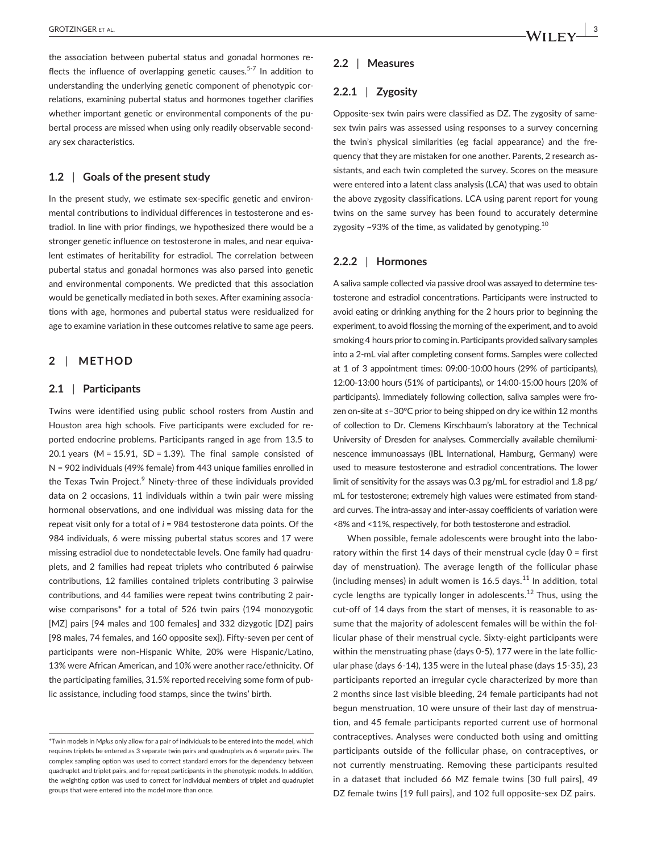the association between pubertal status and gonadal hormones reflects the influence of overlapping genetic causes.<sup>5-7</sup> In addition to understanding the underlying genetic component of phenotypic correlations, examining pubertal status and hormones together clarifies whether important genetic or environmental components of the pubertal process are missed when using only readily observable secondary sex characteristics.

### **1.2** | **Goals of the present study**

In the present study, we estimate sex-specific genetic and environmental contributions to individual differences in testosterone and estradiol. In line with prior findings, we hypothesized there would be a stronger genetic influence on testosterone in males, and near equivalent estimates of heritability for estradiol. The correlation between pubertal status and gonadal hormones was also parsed into genetic and environmental components. We predicted that this association would be genetically mediated in both sexes. After examining associations with age, hormones and pubertal status were residualized for age to examine variation in these outcomes relative to same age peers.

## **2** | **METHOD**

## **2.1** | **Participants**

Twins were identified using public school rosters from Austin and Houston area high schools. Five participants were excluded for reported endocrine problems. Participants ranged in age from 13.5 to 20.1 years (M =  $15.91$ , SD =  $1.39$ ). The final sample consisted of N = 902 individuals (49% female) from 443 unique families enrolled in the Texas Twin Project.<sup>9</sup> Ninety-three of these individuals provided data on 2 occasions, 11 individuals within a twin pair were missing hormonal observations, and one individual was missing data for the repeat visit only for a total of *i* = 984 testosterone data points. Of the 984 individuals, 6 were missing pubertal status scores and 17 were missing estradiol due to nondetectable levels. One family had quadruplets, and 2 families had repeat triplets who contributed 6 pairwise contributions, 12 families contained triplets contributing 3 pairwise contributions, and 44 families were repeat twins contributing 2 pairwise comparisons\* for a total of 526 twin pairs (194 monozygotic [MZ] pairs [94 males and 100 females] and 332 dizygotic [DZ] pairs [98 males, 74 females, and 160 opposite sex]). Fifty-seven per cent of participants were non-Hispanic White, 20% were Hispanic/Latino, 13% were African American, and 10% were another race/ethnicity. Of the participating families, 31.5% reported receiving some form of public assistance, including food stamps, since the twins' birth.

## **2.2** | **Measures**

## **2.2.1** | **Zygosity**

Opposite-sex twin pairs were classified as DZ. The zygosity of samesex twin pairs was assessed using responses to a survey concerning the twin's physical similarities (eg facial appearance) and the frequency that they are mistaken for one another. Parents, 2 research assistants, and each twin completed the survey. Scores on the measure were entered into a latent class analysis (LCA) that was used to obtain the above zygosity classifications. LCA using parent report for young twins on the same survey has been found to accurately determine zygosity  $\sim$ 93% of the time, as validated by genotyping.<sup>10</sup>

### **2.2.2** | **Hormones**

A saliva sample collected via passive drool was assayed to determine testosterone and estradiol concentrations. Participants were instructed to avoid eating or drinking anything for the 2 hours prior to beginning the experiment, to avoid flossing the morning of the experiment, and to avoid smoking 4 hours prior to coming in. Participants provided salivary samples into a 2-mL vial after completing consent forms. Samples were collected at 1 of 3 appointment times: 09:00-10:00 hours (29% of participants), 12:00-13:00 hours (51% of participants), or 14:00-15:00 hours (20% of participants). Immediately following collection, saliva samples were frozen on-site at ≤−30°C prior to being shipped on dry ice within 12 months of collection to Dr. Clemens Kirschbaum's laboratory at the Technical University of Dresden for analyses. Commercially available chemiluminescence immunoassays (IBL International, Hamburg, Germany) were used to measure testosterone and estradiol concentrations. The lower limit of sensitivity for the assays was 0.3 pg/mL for estradiol and 1.8 pg/ mL for testosterone; extremely high values were estimated from standard curves. The intra-assay and inter-assay coefficients of variation were <8% and <11%, respectively, for both testosterone and estradiol.

When possible, female adolescents were brought into the laboratory within the first 14 days of their menstrual cycle (day 0 = first day of menstruation). The average length of the follicular phase (including menses) in adult women is  $16.5$  days.<sup>11</sup> In addition, total cycle lengths are typically longer in adolescents.<sup>12</sup> Thus, using the cut-off of 14 days from the start of menses, it is reasonable to assume that the majority of adolescent females will be within the follicular phase of their menstrual cycle. Sixty-eight participants were within the menstruating phase (days 0-5), 177 were in the late follicular phase (days 6-14), 135 were in the luteal phase (days 15-35), 23 participants reported an irregular cycle characterized by more than 2 months since last visible bleeding, 24 female participants had not begun menstruation, 10 were unsure of their last day of menstruation, and 45 female participants reported current use of hormonal contraceptives. Analyses were conducted both using and omitting participants outside of the follicular phase, on contraceptives, or not currently menstruating. Removing these participants resulted in a dataset that included 66 MZ female twins [30 full pairs], 49 DZ female twins [19 full pairs], and 102 full opposite-sex DZ pairs.

<sup>\*</sup>Twin models in M*plus* only allow for a pair of individuals to be entered into the model, which requires triplets be entered as 3 separate twin pairs and quadruplets as 6 separate pairs. The complex sampling option was used to correct standard errors for the dependency between quadruplet and triplet pairs, and for repeat participants in the phenotypic models. In addition, the weighting option was used to correct for individual members of triplet and quadruplet groups that were entered into the model more than once.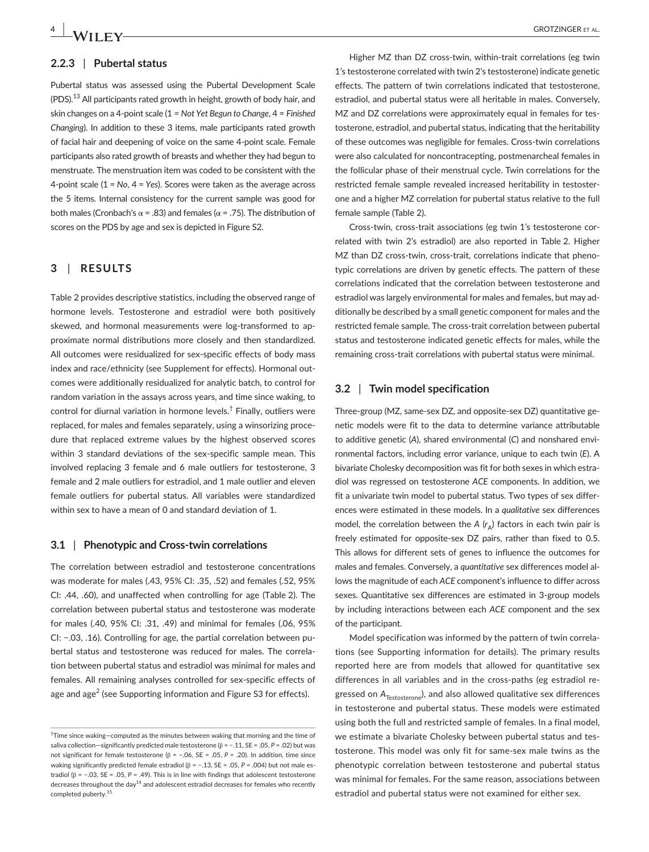## **2.2.3** | **Pubertal status**

Pubertal status was assessed using the Pubertal Development Scale  $($ PDS $).<sup>13</sup>$  All participants rated growth in height, growth of body hair, and skin changes on a 4-point scale (1 *= Not Yet Begun to Change*, 4 = *Finished Changing*). In addition to these 3 items, male participants rated growth of facial hair and deepening of voice on the same 4-point scale. Female participants also rated growth of breasts and whether they had begun to menstruate. The menstruation item was coded to be consistent with the 4-point scale (1 = *No*, 4 = *Yes*). Scores were taken as the average across the 5 items. Internal consistency for the current sample was good for both males (Cronbach's α = .83) and females ( $α$  = .75). The distribution of scores on the PDS by age and sex is depicted in Figure S2.

## **3** | **RESULTS**

Table 2 provides descriptive statistics, including the observed range of hormone levels. Testosterone and estradiol were both positively skewed, and hormonal measurements were log-transformed to approximate normal distributions more closely and then standardized. All outcomes were residualized for sex-specific effects of body mass index and race/ethnicity (see Supplement for effects). Hormonal outcomes were additionally residualized for analytic batch, to control for random variation in the assays across years, and time since waking, to control for diurnal variation in hormone levels.<sup>†</sup> Finally, outliers were replaced, for males and females separately, using a winsorizing procedure that replaced extreme values by the highest observed scores within 3 standard deviations of the sex-specific sample mean. This involved replacing 3 female and 6 male outliers for testosterone, 3 female and 2 male outliers for estradiol, and 1 male outlier and eleven female outliers for pubertal status. All variables were standardized within sex to have a mean of 0 and standard deviation of 1.

### **3.1** | **Phenotypic and Cross-twin correlations**

The correlation between estradiol and testosterone concentrations was moderate for males (.43, 95% CI: .35, .52) and females (.52, 95% CI: .44, .60), and unaffected when controlling for age (Table 2). The correlation between pubertal status and testosterone was moderate for males (.40, 95% CI: .31, .49) and minimal for females (.06, 95% CI: −.03, .16). Controlling for age, the partial correlation between pubertal status and testosterone was reduced for males. The correlation between pubertal status and estradiol was minimal for males and females. All remaining analyses controlled for sex-specific effects of age and age<sup>2</sup> (see Supporting information and Figure S3 for effects).

Higher MZ than DZ cross-twin, within-trait correlations (eg twin 1's testosterone correlated with twin 2's testosterone) indicate genetic effects. The pattern of twin correlations indicated that testosterone, estradiol, and pubertal status were all heritable in males. Conversely, MZ and DZ correlations were approximately equal in females for testosterone, estradiol, and pubertal status, indicating that the heritability of these outcomes was negligible for females. Cross-twin correlations were also calculated for noncontracepting, postmenarcheal females in the follicular phase of their menstrual cycle. Twin correlations for the restricted female sample revealed increased heritability in testosterone and a higher MZ correlation for pubertal status relative to the full female sample (Table 2).

Cross-twin, cross-trait associations (eg twin 1's testosterone correlated with twin 2's estradiol) are also reported in Table 2. Higher MZ than DZ cross-twin, cross-trait, correlations indicate that phenotypic correlations are driven by genetic effects. The pattern of these correlations indicated that the correlation between testosterone and estradiol was largely environmental for males and females, but may additionally be described by a small genetic component for males and the restricted female sample. The cross-trait correlation between pubertal status and testosterone indicated genetic effects for males, while the remaining cross-trait correlations with pubertal status were minimal.

## **3.2** | **Twin model specification**

Three-group (MZ, same-sex DZ, and opposite-sex DZ) quantitative genetic models were fit to the data to determine variance attributable to additive genetic (*A*), shared environmental (*C*) and nonshared environmental factors, including error variance, unique to each twin (*E*). A bivariate Cholesky decomposition was fit for both sexes in which estradiol was regressed on testosterone *ACE* components. In addition, we fit a univariate twin model to pubertal status. Two types of sex differences were estimated in these models. In a *qualitative* sex differences model, the correlation between the  $A$  ( $r_A$ ) factors in each twin pair is freely estimated for opposite-sex DZ pairs, rather than fixed to 0.5. This allows for different sets of genes to influence the outcomes for males and females. Conversely, a *quantitative* sex differences model allows the magnitude of each *ACE* component's influence to differ across sexes. Quantitative sex differences are estimated in 3-group models by including interactions between each *ACE* component and the sex of the participant.

Model specification was informed by the pattern of twin correlations (see Supporting information for details). The primary results reported here are from models that allowed for quantitative sex differences in all variables and in the cross-paths (eg estradiol regressed on A<sub>Testosterone</sub>), and also allowed qualitative sex differences in testosterone and pubertal status. These models were estimated using both the full and restricted sample of females. In a final model, we estimate a bivariate Cholesky between pubertal status and testosterone. This model was only fit for same-sex male twins as the phenotypic correlation between testosterone and pubertal status was minimal for females. For the same reason, associations between estradiol and pubertal status were not examined for either sex.

<sup>†</sup> Time since waking—computed as the minutes between waking that morning and the time of saliva collection—significantly predicted male testosterone (β = −.11, SE = .05, *P* = .02) but was not significant for female testosterone (β = −.06, SE = .05, *P* = .20). In addition, time since waking significantly predicted female estradiol (β = −.13, SE = .05, *P* = .004) but not male estradiol (β = −.03, SE = .05, *P* = .49). This is in line with findings that adolescent testosterone decreases throughout the day<sup>14</sup> and adolescent estradiol decreases for females who recently completed puberty.<sup>15</sup>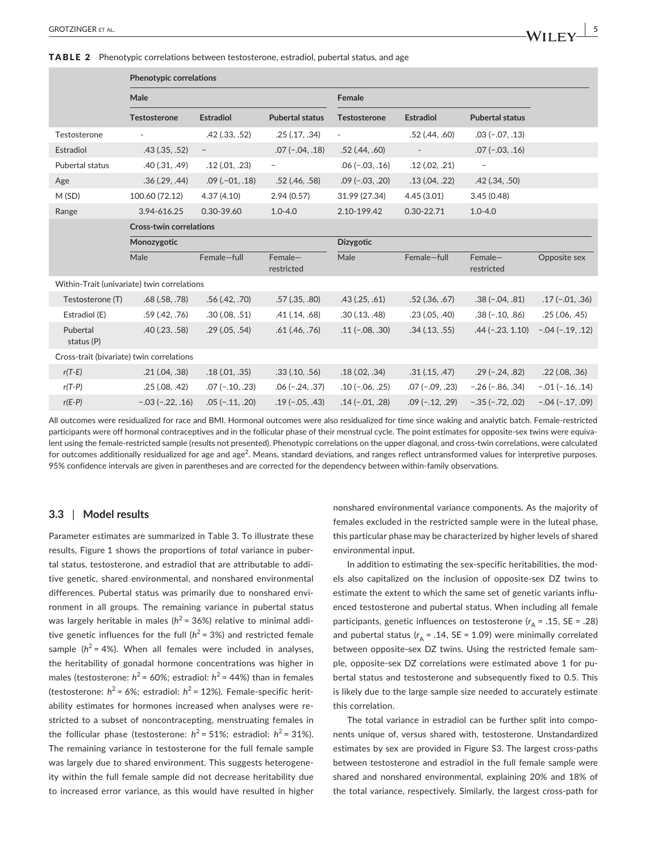#### TABLE 2 Phenotypic correlations between testosterone, estradiol, pubertal status, and age

|                                             | <b>Phenotypic correlations</b> |                          |                          |                     |                          |                          |                    |  |  |
|---------------------------------------------|--------------------------------|--------------------------|--------------------------|---------------------|--------------------------|--------------------------|--------------------|--|--|
|                                             | Male                           |                          |                          | Female              |                          |                          |                    |  |  |
|                                             | <b>Testosterone</b>            | <b>Estradiol</b>         | <b>Pubertal status</b>   | <b>Testosterone</b> | <b>Estradiol</b>         | <b>Pubertal status</b>   |                    |  |  |
| Testosterone                                | $\overline{\phantom{a}}$       | $.42$ $(.33, .52)$       | .25(.17, .34)            | $\blacksquare$      | $.52$ $(.44, .60)$       | $.03 (-.07, .13)$        |                    |  |  |
| Estradiol                                   | $.43$ $(.35, .52)$             | $\overline{\phantom{a}}$ | $.07(-.04, .18)$         | $.52$ (.44, .60)    | $\overline{\phantom{a}}$ | $.07 (-.03, .16)$        |                    |  |  |
| Pubertal status                             | .40(.31, .49)                  | .12(.01,.23)             | $\overline{\phantom{a}}$ | $.06 (-.03, .16)$   | .12(.02,.21)             | $\overline{\phantom{a}}$ |                    |  |  |
| Age                                         | .36(.29, .44)                  | $.09$ ( $.01$ , $.18$ )  | $.52$ (.46, $.58$ )      | $.09(-.03, .20)$    | .13(.04,.22)             | $.42$ $(.34, .50)$       |                    |  |  |
| M(SD)                                       | 100.60 (72.12)                 | 4.37(4.10)               | 2.94(0.57)               | 31.99 (27.34)       | 4.45(3.01)               | 3.45(0.48)               |                    |  |  |
| Range                                       | 3.94-616.25                    | 0.30-39.60               | $1.0 - 4.0$              | 2.10-199.42         | $0.30 - 22.71$           | $1.0 - 4.0$              |                    |  |  |
|                                             | <b>Cross-twin correlations</b> |                          |                          |                     |                          |                          |                    |  |  |
|                                             | Monozygotic                    |                          |                          | Dizygotic           |                          |                          |                    |  |  |
|                                             | Male                           | Female-full              | $Female-$<br>restricted  | Male                | Female-full              | $Female-$<br>restricted  | Opposite sex       |  |  |
| Within-Trait (univariate) twin correlations |                                |                          |                          |                     |                          |                          |                    |  |  |
| Testosterone (T)                            | $.68$ $(.58, .78)$             | .56(.42, .70)            | $.57$ $(.35, .80)$       | $.43$ $(.25, .61)$  | $.52$ $(.36, .67)$       | $.38(-.04, .81)$         | $.17(-.01, .36)$   |  |  |
| Estradiol (E)                               | .59(.42, .76)                  | .30(.08, .51)            | $.41$ $(.14, .68)$       | .30(.13, .48)       | .23(.05,.40)             | $.38(-.10, .86)$         | .25(.06, .45)      |  |  |
| Pubertal<br>status (P)                      | $.40$ $(.23, .58)$             | .29(.05,.54)             | $.61$ $(.46, .76)$       | $.11(-.08, .30)$    | $.34$ $(.13, .55)$       | $.44 (-.23, 1.10)$       | $-.04 (-.19, .12)$ |  |  |
| Cross-trait (bivariate) twin correlations   |                                |                          |                          |                     |                          |                          |                    |  |  |
| $r(T-E)$                                    | .21(.04,.38)                   | .18(.01, .35)            | $.33$ $(.10, .56)$       | .18(.02,.34)        | .31(.15,.47)             | $.29(-.24, .82)$         | $.22$ (.08, .36)   |  |  |
| $r(T-P)$                                    | .25(.08, .42)                  | $.07(-.10, .23)$         | $.06(-.24, .37)$         | $.10(-.06, .25)$    | $.07(-.09, .23)$         | $-.26 (-.86, .34)$       | $-.01 (-.16, .14)$ |  |  |
| $r(E-P)$                                    | $-.03 (-.22, .16)$             | $.05(-.11, .20)$         | $.19(-.05, .43)$         | $.14 (-.01, .28)$   | $.09(-.12, .29)$         | $-.35(-.72, .02)$        | $-.04 (-.17, .09)$ |  |  |

All outcomes were residualized for race and BMI. Hormonal outcomes were also residualized for time since waking and analytic batch. Female-restricted participants were off hormonal contraceptives and in the follicular phase of their menstrual cycle. The point estimates for opposite-sex twins were equivalent using the female-restricted sample (results not presented). Phenotypic correlations on the upper diagonal, and cross-twin correlations, were calculated for outcomes additionally residualized for age and age<sup>2</sup>. Means, standard deviations, and ranges reflect untransformed values for interpretive purposes. 95% confidence intervals are given in parentheses and are corrected for the dependency between within-family observations.

## **3.3** | **Model results**

Parameter estimates are summarized in Table 3. To illustrate these results, Figure 1 shows the proportions of *total* variance in pubertal status, testosterone, and estradiol that are attributable to additive genetic, shared environmental, and nonshared environmental differences. Pubertal status was primarily due to nonshared environment in all groups. The remaining variance in pubertal status was largely heritable in males ( $h^2$  = 36%) relative to minimal additive genetic influences for the full  $(h^2 = 3\%)$  and restricted female sample ( $h^2$  = 4%). When all females were included in analyses, the heritability of gonadal hormone concentrations was higher in males (testosterone:  $h^2$  = 60%; estradiol:  $h^2$  = 44%) than in females (testosterone:  $h^2$  = 6%; estradiol:  $h^2$  = 12%). Female-specific heritability estimates for hormones increased when analyses were restricted to a subset of noncontracepting, menstruating females in the follicular phase (testosterone:  $h^2 = 51\%$ ; estradiol:  $h^2 = 31\%$ ). The remaining variance in testosterone for the full female sample was largely due to shared environment. This suggests heterogeneity within the full female sample did not decrease heritability due to increased error variance, as this would have resulted in higher nonshared environmental variance components. As the majority of females excluded in the restricted sample were in the luteal phase, this particular phase may be characterized by higher levels of shared environmental input.

In addition to estimating the sex-specific heritabilities, the models also capitalized on the inclusion of opposite-sex DZ twins to estimate the extent to which the same set of genetic variants influenced testosterone and pubertal status. When including all female participants, genetic influences on testosterone ( $r_A$  = .15, SE = .28) and pubertal status  $(r_A = .14, SE = 1.09)$  were minimally correlated between opposite-sex DZ twins. Using the restricted female sample, opposite-sex DZ correlations were estimated above 1 for pubertal status and testosterone and subsequently fixed to 0.5. This is likely due to the large sample size needed to accurately estimate this correlation.

The total variance in estradiol can be further split into components unique of, versus shared with, testosterone. Unstandardized estimates by sex are provided in Figure S3. The largest cross-paths between testosterone and estradiol in the full female sample were shared and nonshared environmental, explaining 20% and 18% of the total variance, respectively. Similarly, the largest cross-path for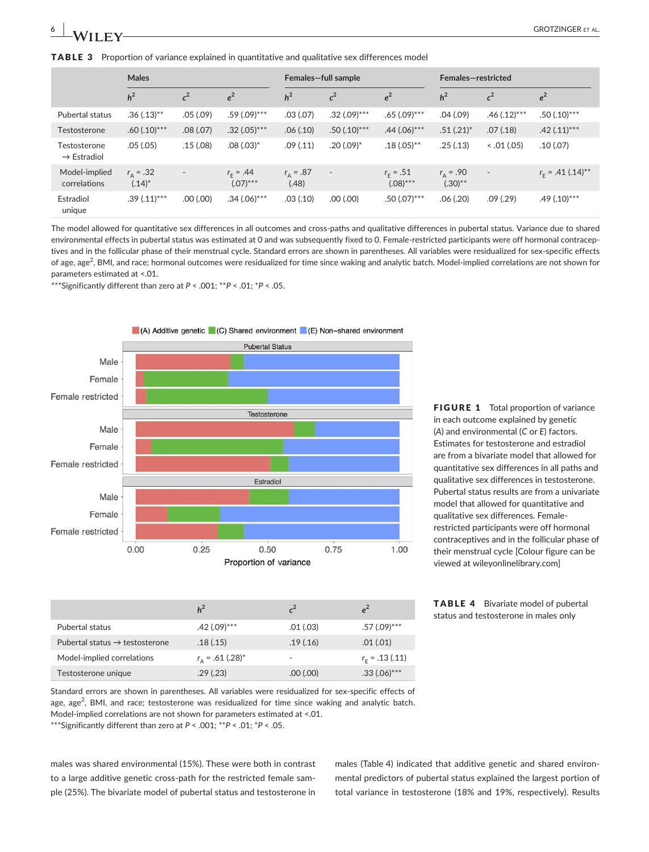**TABLE 3** Proportion of variance explained in quantitative and qualitative sex differences model

|                                         | <b>Males</b>                   |                          | Females-full sample              |                            |                          | Females-restricted               |                                 |                          |                           |
|-----------------------------------------|--------------------------------|--------------------------|----------------------------------|----------------------------|--------------------------|----------------------------------|---------------------------------|--------------------------|---------------------------|
|                                         | h <sup>2</sup>                 | $c^2$                    | $e^2$                            | h <sup>2</sup>             | c <sup>2</sup>           | $e^2$                            | h <sup>2</sup>                  | $c^2$                    | $e^2$                     |
| Pubertal status                         | $.36(.13)$ **                  | .05(.09)                 | $.59(.09)$ ***                   | .03(.07)                   | $.32(.09)$ ***           | $.65(.09)$ ***                   | .04(.09)                        | $.46(.12)$ ***           | $.50(.10)$ ***            |
| Testosterone                            | $.60(.10)$ ***                 | .08(.07)                 | $.32(.05)***$                    | .06(.10)                   | $.50(.10)$ ***           | $.44(.06)$ ***                   | $.51(.21)^*$                    | .07(.18)                 | $.42(.11)$ ***            |
| Testosterone<br>$\rightarrow$ Estradiol | .05(.05)                       | .15(.08)                 | $.08(.03)^*$                     | .09(.11)                   | $.20(.09)^*$             | $.18(.05)$ **                    | .25(.13)                        | 0.01(0.05)               | .10(0.07)                 |
| Model-implied<br>correlations           | $r_{\rm A} = .32$<br>$(.14)^*$ | $\overline{\phantom{a}}$ | $r_{\rm c} = .44$<br>$(.07)$ *** | $r_{\rm A} = .87$<br>(.48) | $\overline{\phantom{a}}$ | $r_{\rm r} = .51$<br>$(.08)$ *** | $r_{\rm A} = .90$<br>$(.30)$ ** | $\overline{\phantom{a}}$ | $r_{\rm r}$ = .41 (.14)** |
| Estradiol<br>unique                     | $.39(.11)$ ***                 | $(00.1)$ 00.             | $.34(.06)$ ***                   | .03(.10)                   | $(00.1)$ 00.             | $.50(.07)$ ***                   | .06(.20)                        | .09(.29)                 | $.49(.10)$ ***            |

The model allowed for quantitative sex differences in all outcomes and cross-paths and qualitative differences in pubertal status. Variance due to shared environmental effects in pubertal status was estimated at 0 and was subsequently fixed to 0. Female-restricted participants were off hormonal contraceptives and in the follicular phase of their menstrual cycle. Standard errors are shown in parentheses. All variables were residualized for sex-specific effects of age, age<sup>2</sup>, BMI, and race; hormonal outcomes were residualized for time since waking and analytic batch. Model-implied correlations are not shown for parameters estimated at <.01.

\*\*\*Significantly different than zero at *P* < .001; \*\**P* < .01; \**P* < .05.



FIGURE 1 Total proportion of variance in each outcome explained by genetic (*A*) and environmental (*C* or *E*) factors. Estimates for testosterone and estradiol are from a bivariate model that allowed for quantitative sex differences in all paths and qualitative sex differences in testosterone. Pubertal status results are from a univariate model that allowed for quantitative and qualitative sex differences. Femalerestricted participants were off hormonal contraceptives and in the follicular phase of their menstrual cycle [Colour figure can be viewed at [wileyonlinelibrary.com\]](www.wileyonlinelibrary.com)

| <b>TABLE 4</b> | Bivariate model of pubertal           |
|----------------|---------------------------------------|
|                | status and testosterone in males only |

| Model-implied correlations                                                                            | $r_{\rm A}$ = .61 (.28) <sup>*</sup> | $\sim$   | $r_{\rm c}$ = .13 (.11) |
|-------------------------------------------------------------------------------------------------------|--------------------------------------|----------|-------------------------|
| Testosterone unique                                                                                   | .29(0.23)                            | .00(.00) | $.33(.06)$ ***          |
| Standard errors are shown in parentheses. All variables were residualized for sex-specific effects of |                                      |          |                         |

Pubertal status .42 (.09)\*\*\* .01 (.03) .57 (.09)\*\*\* Pubertal status  $\rightarrow$  testosterone .18 (.15) .19 (.16) .01 (.01)

*h***<sup>2</sup> <b>***c***<sup>2</sup> <b>***e***<sup>2</sup>** 

age, age<sup>2</sup>, BMI, and race; testosterone was residualized for time since waking and analytic batch. Model-implied correlations are not shown for parameters estimated at <.01.

\*\*\*Significantly different than zero at *P* < .001; \*\**P* < .01; \**P* < .05.

males was shared environmental (15%). These were both in contrast to a large additive genetic cross-path for the restricted female sample (25%). The bivariate model of pubertal status and testosterone in males (Table 4) indicated that additive genetic and shared environmental predictors of pubertal status explained the largest portion of total variance in testosterone (18% and 19%, respectively). Results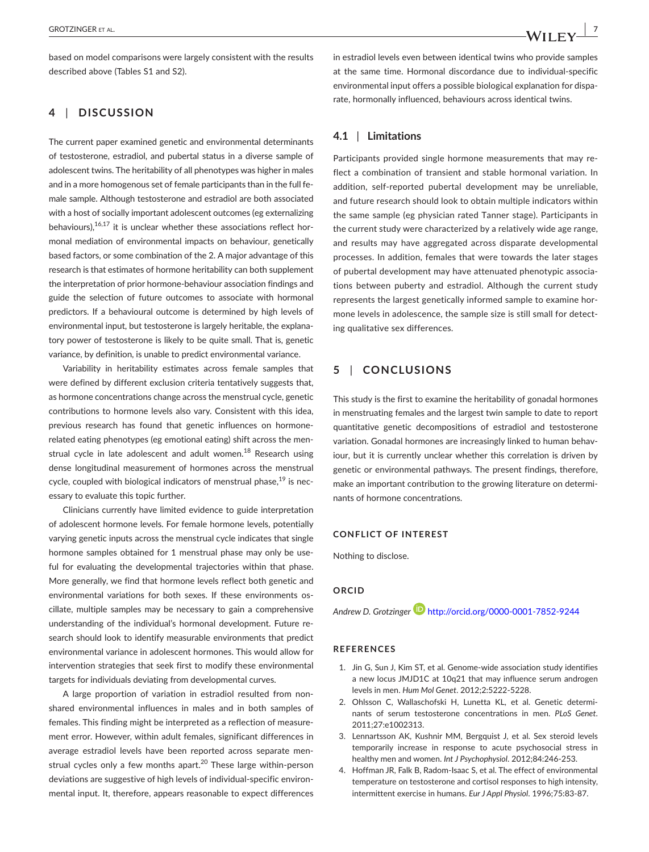## **4** | **DISCUSSION**

The current paper examined genetic and environmental determinants of testosterone, estradiol, and pubertal status in a diverse sample of adolescent twins. The heritability of all phenotypes was higher in males and in a more homogenous set of female participants than in the full female sample. Although testosterone and estradiol are both associated with a host of socially important adolescent outcomes (eg externalizing behaviours), $16,17$  it is unclear whether these associations reflect hormonal mediation of environmental impacts on behaviour, genetically based factors, or some combination of the 2. A major advantage of this research is that estimates of hormone heritability can both supplement the interpretation of prior hormone-behaviour association findings and guide the selection of future outcomes to associate with hormonal predictors. If a behavioural outcome is determined by high levels of environmental input, but testosterone is largely heritable, the explanatory power of testosterone is likely to be quite small. That is, genetic variance, by definition, is unable to predict environmental variance.

Variability in heritability estimates across female samples that were defined by different exclusion criteria tentatively suggests that, as hormone concentrations change across the menstrual cycle, genetic contributions to hormone levels also vary. Consistent with this idea, previous research has found that genetic influences on hormonerelated eating phenotypes (eg emotional eating) shift across the menstrual cycle in late adolescent and adult women.<sup>18</sup> Research using dense longitudinal measurement of hormones across the menstrual cycle, coupled with biological indicators of menstrual phase,  $19$  is necessary to evaluate this topic further.

Clinicians currently have limited evidence to guide interpretation of adolescent hormone levels. For female hormone levels, potentially varying genetic inputs across the menstrual cycle indicates that single hormone samples obtained for 1 menstrual phase may only be useful for evaluating the developmental trajectories within that phase. More generally, we find that hormone levels reflect both genetic and environmental variations for both sexes. If these environments oscillate, multiple samples may be necessary to gain a comprehensive understanding of the individual's hormonal development. Future research should look to identify measurable environments that predict environmental variance in adolescent hormones. This would allow for intervention strategies that seek first to modify these environmental targets for individuals deviating from developmental curves.

A large proportion of variation in estradiol resulted from nonshared environmental influences in males and in both samples of females. This finding might be interpreted as a reflection of measurement error. However, within adult females, significant differences in average estradiol levels have been reported across separate menstrual cycles only a few months apart.<sup>20</sup> These large within-person deviations are suggestive of high levels of individual-specific environmental input. It, therefore, appears reasonable to expect differences

in estradiol levels even between identical twins who provide samples at the same time. Hormonal discordance due to individual-specific environmental input offers a possible biological explanation for disparate, hormonally influenced, behaviours across identical twins.

## **4.1** | **Limitations**

Participants provided single hormone measurements that may reflect a combination of transient and stable hormonal variation. In addition, self-reported pubertal development may be unreliable, and future research should look to obtain multiple indicators within the same sample (eg physician rated Tanner stage). Participants in the current study were characterized by a relatively wide age range, and results may have aggregated across disparate developmental processes. In addition, females that were towards the later stages of pubertal development may have attenuated phenotypic associations between puberty and estradiol. Although the current study represents the largest genetically informed sample to examine hormone levels in adolescence, the sample size is still small for detecting qualitative sex differences.

## **5** | **CONCLUSIONS**

This study is the first to examine the heritability of gonadal hormones in menstruating females and the largest twin sample to date to report quantitative genetic decompositions of estradiol and testosterone variation. Gonadal hormones are increasingly linked to human behaviour, but it is currently unclear whether this correlation is driven by genetic or environmental pathways. The present findings, therefore, make an important contribution to the growing literature on determinants of hormone concentrations.

## **CONFLICT OF INTEREST**

Nothing to disclose.

#### **ORCID**

*Andrew D. Grotzinge[r](http://orcid.org/0000-0001-7852-9244)* <http://orcid.org/0000-0001-7852-9244>

#### **REFERENCES**

- 1. Jin G, Sun J, Kim ST, et al. Genome-wide association study identifies a new locus JMJD1C at 10q21 that may influence serum androgen levels in men. *Hum Mol Genet*. 2012;2:5222‐5228.
- 2. Ohlsson C, Wallaschofski H, Lunetta KL, et al. Genetic determinants of serum testosterone concentrations in men. *PLoS Genet*. 2011;27:e1002313.
- 3. Lennartsson AK, Kushnir MM, Bergquist J, et al. Sex steroid levels temporarily increase in response to acute psychosocial stress in healthy men and women. *Int J Psychophysiol*. 2012;84:246‐253.
- 4. Hoffman JR, Falk B, Radom-Isaac S, et al. The effect of environmental temperature on testosterone and cortisol responses to high intensity, intermittent exercise in humans. *Eur J Appl Physiol*. 1996;75:83‐87.